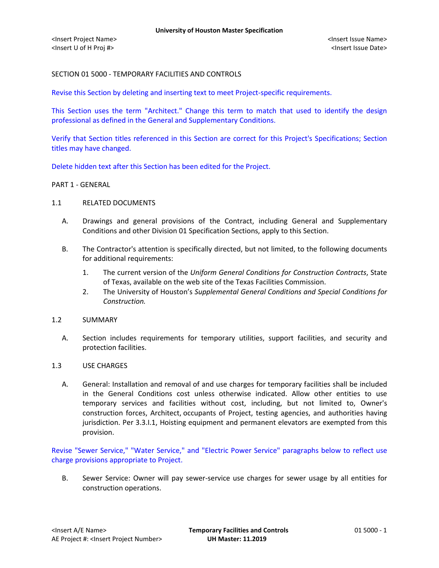# SECTION 01 5000 - TEMPORARY FACILITIES AND CONTROLS

Revise this Section by deleting and inserting text to meet Project-specific requirements.

This Section uses the term "Architect." Change this term to match that used to identify the design professional as defined in the General and Supplementary Conditions.

Verify that Section titles referenced in this Section are correct for this Project's Specifications; Section titles may have changed.

Delete hidden text after this Section has been edited for the Project.

#### PART 1 - GENERAL

- 1.1 RELATED DOCUMENTS
	- A. Drawings and general provisions of the Contract, including General and Supplementary Conditions and other Division 01 Specification Sections, apply to this Section.
	- B. The Contractor's attention is specifically directed, but not limited, to the following documents for additional requirements:
		- 1. The current version of the *Uniform General Conditions for Construction Contracts*, State of Texas, available on the web site of the Texas Facilities Commission.
		- 2. The University of Houston's *Supplemental General Conditions and Special Conditions for Construction.*
- 1.2 SUMMARY
	- A. Section includes requirements for temporary utilities, support facilities, and security and protection facilities.
- 1.3 USE CHARGES
	- A. General: Installation and removal of and use charges for temporary facilities shall be included in the General Conditions cost unless otherwise indicated. Allow other entities to use temporary services and facilities without cost, including, but not limited to, Owner's construction forces, Architect, occupants of Project, testing agencies, and authorities having jurisdiction. Per 3.3.I.1, Hoisting equipment and permanent elevators are exempted from this provision.

Revise "Sewer Service," "Water Service," and "Electric Power Service" paragraphs below to reflect use charge provisions appropriate to Project.

B. Sewer Service: Owner will pay sewer-service use charges for sewer usage by all entities for construction operations.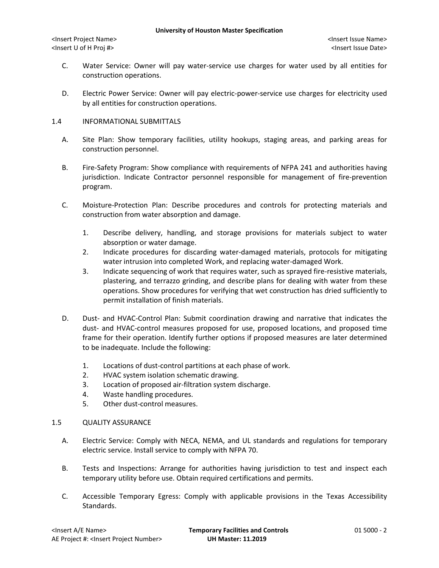- C. Water Service: Owner will pay water-service use charges for water used by all entities for construction operations.
- D. Electric Power Service: Owner will pay electric-power-service use charges for electricity used by all entities for construction operations.

## 1.4 INFORMATIONAL SUBMITTALS

- A. Site Plan: Show temporary facilities, utility hookups, staging areas, and parking areas for construction personnel.
- B. Fire-Safety Program: Show compliance with requirements of NFPA 241 and authorities having jurisdiction. Indicate Contractor personnel responsible for management of fire-prevention program.
- C. Moisture-Protection Plan: Describe procedures and controls for protecting materials and construction from water absorption and damage.
	- 1. Describe delivery, handling, and storage provisions for materials subject to water absorption or water damage.
	- 2. Indicate procedures for discarding water-damaged materials, protocols for mitigating water intrusion into completed Work, and replacing water-damaged Work.
	- 3. Indicate sequencing of work that requires water, such as sprayed fire-resistive materials, plastering, and terrazzo grinding, and describe plans for dealing with water from these operations. Show procedures for verifying that wet construction has dried sufficiently to permit installation of finish materials.
- D. Dust- and HVAC-Control Plan: Submit coordination drawing and narrative that indicates the dust- and HVAC-control measures proposed for use, proposed locations, and proposed time frame for their operation. Identify further options if proposed measures are later determined to be inadequate. Include the following:
	- 1. Locations of dust-control partitions at each phase of work.
	- 2. HVAC system isolation schematic drawing.
	- 3. Location of proposed air-filtration system discharge.
	- 4. Waste handling procedures.
	- 5. Other dust-control measures.

# 1.5 QUALITY ASSURANCE

- A. Electric Service: Comply with NECA, NEMA, and UL standards and regulations for temporary electric service. Install service to comply with NFPA 70.
- B. Tests and Inspections: Arrange for authorities having jurisdiction to test and inspect each temporary utility before use. Obtain required certifications and permits.
- C. Accessible Temporary Egress: Comply with applicable provisions in the Texas Accessibility Standards.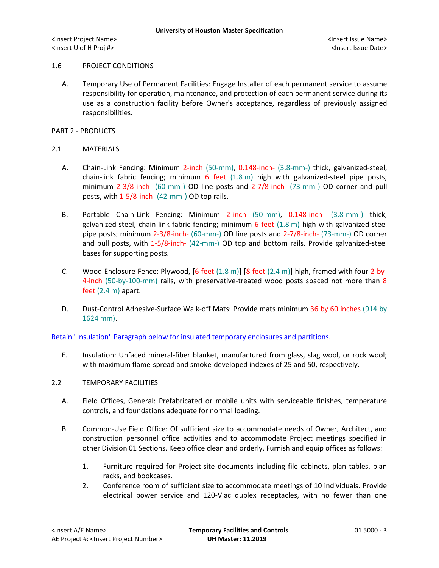<Insert Project Name> <Insert Issue Name> <Insert U of H Proj #> <Insert Issue Date>

#### 1.6 PROJECT CONDITIONS

A. Temporary Use of Permanent Facilities: Engage Installer of each permanent service to assume responsibility for operation, maintenance, and protection of each permanent service during its use as a construction facility before Owner's acceptance, regardless of previously assigned responsibilities.

PART 2 - PRODUCTS

## 2.1 MATERIALS

- A. Chain-Link Fencing: Minimum 2-inch (50-mm), 0.148-inch- (3.8-mm-) thick, galvanized-steel, chain-link fabric fencing; minimum 6 feet (1.8 m) high with galvanized-steel pipe posts; minimum 2-3/8-inch- (60-mm-) OD line posts and 2-7/8-inch- (73-mm-) OD corner and pull posts, with 1-5/8-inch- (42-mm-) OD top rails.
- B. Portable Chain-Link Fencing: Minimum 2-inch (50-mm), 0.148-inch- (3.8-mm-) thick, galvanized-steel, chain-link fabric fencing; minimum  $6$  feet  $(1.8 \text{ m})$  high with galvanized-steel pipe posts; minimum 2-3/8-inch- (60-mm-) OD line posts and 2-7/8-inch- (73-mm-) OD corner and pull posts, with 1-5/8-inch- (42-mm-) OD top and bottom rails. Provide galvanized-steel bases for supporting posts.
- C. Wood Enclosure Fence: Plywood,  $[6 \text{ feet } (1.8 \text{ m})]$   $[8 \text{ feet } (2.4 \text{ m})]$  high, framed with four 2-by-4-inch (50-by-100-mm) rails, with preservative-treated wood posts spaced not more than 8 feet (2.4 m) apart.
- D. Dust-Control Adhesive-Surface Walk-off Mats: Provide mats minimum 36 by 60 inches (914 by 1624 mm).

Retain "Insulation" Paragraph below for insulated temporary enclosures and partitions.

E. Insulation: Unfaced mineral-fiber blanket, manufactured from glass, slag wool, or rock wool; with maximum flame-spread and smoke-developed indexes of 25 and 50, respectively.

# 2.2 TEMPORARY FACILITIES

- A. Field Offices, General: Prefabricated or mobile units with serviceable finishes, temperature controls, and foundations adequate for normal loading.
- B. Common-Use Field Office: Of sufficient size to accommodate needs of Owner, Architect, and construction personnel office activities and to accommodate Project meetings specified in other Division 01 Sections. Keep office clean and orderly. Furnish and equip offices as follows:
	- 1. Furniture required for Project-site documents including file cabinets, plan tables, plan racks, and bookcases.
	- 2. Conference room of sufficient size to accommodate meetings of 10 individuals. Provide electrical power service and 120-V ac duplex receptacles, with no fewer than one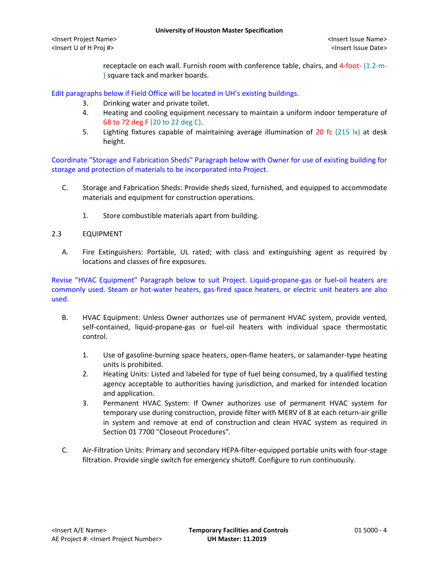receptacle on each wall. Furnish room with conference table, chairs, and 4-foot- (1.2-m- ) square tack and marker boards.

Edit paragraphs below if Field Office will be located in UH's existing buildings.

- 3. Drinking water and private toilet.
- 4. Heating and cooling equipment necessary to maintain a uniform indoor temperature of 68 to 72 deg F (20 to 22 deg C).
- 5. Lighting fixtures capable of maintaining average illumination of 20 fc (215 lx) at desk height.

Coordinate "Storage and Fabrication Sheds" Paragraph below with Owner for use of existing building for storage and protection of materials to be incorporated into Project.

- C. Storage and Fabrication Sheds: Provide sheds sized, furnished, and equipped to accommodate materials and equipment for construction operations.
	- 1. Store combustible materials apart from building.

## 2.3 EQUIPMENT

A. Fire Extinguishers: Portable, UL rated; with class and extinguishing agent as required by locations and classes of fire exposures.

Revise "HVAC Equipment" Paragraph below to suit Project. Liquid-propane-gas or fuel-oil heaters are commonly used. Steam or hot-water heaters, gas-fired space heaters, or electric unit heaters are also used.

- B. HVAC Equipment: Unless Owner authorizes use of permanent HVAC system, provide vented, self-contained, liquid-propane-gas or fuel-oil heaters with individual space thermostatic control.
	- 1. Use of gasoline-burning space heaters, open-flame heaters, or salamander-type heating units is prohibited.
	- 2. Heating Units: Listed and labeled for type of fuel being consumed, by a qualified testing agency acceptable to authorities having jurisdiction, and marked for intended location and application.
	- 3. Permanent HVAC System: If Owner authorizes use of permanent HVAC system for temporary use during construction, provide filter with MERV of 8 at each return-air grille in system and remove at end of construction and clean HVAC system as required in Section 01 7700 "Closeout Procedures".
- C. Air-Filtration Units: Primary and secondary HEPA-filter-equipped portable units with four-stage filtration. Provide single switch for emergency shutoff. Configure to run continuously.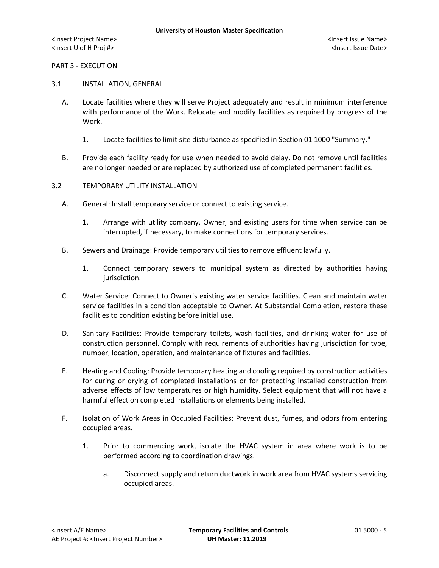#### PART 3 - EXECUTION

## 3.1 INSTALLATION, GENERAL

- A. Locate facilities where they will serve Project adequately and result in minimum interference with performance of the Work. Relocate and modify facilities as required by progress of the Work.
	- 1. Locate facilities to limit site disturbance as specified in Section 01 1000 "Summary."
- B. Provide each facility ready for use when needed to avoid delay. Do not remove until facilities are no longer needed or are replaced by authorized use of completed permanent facilities.

#### 3.2 TEMPORARY UTILITY INSTALLATION

- A. General: Install temporary service or connect to existing service.
	- 1. Arrange with utility company, Owner, and existing users for time when service can be interrupted, if necessary, to make connections for temporary services.
- B. Sewers and Drainage: Provide temporary utilities to remove effluent lawfully.
	- 1. Connect temporary sewers to municipal system as directed by authorities having jurisdiction.
- C. Water Service: Connect to Owner's existing water service facilities. Clean and maintain water service facilities in a condition acceptable to Owner. At Substantial Completion, restore these facilities to condition existing before initial use.
- D. Sanitary Facilities: Provide temporary toilets, wash facilities, and drinking water for use of construction personnel. Comply with requirements of authorities having jurisdiction for type, number, location, operation, and maintenance of fixtures and facilities.
- E. Heating and Cooling: Provide temporary heating and cooling required by construction activities for curing or drying of completed installations or for protecting installed construction from adverse effects of low temperatures or high humidity. Select equipment that will not have a harmful effect on completed installations or elements being installed.
- F. Isolation of Work Areas in Occupied Facilities: Prevent dust, fumes, and odors from entering occupied areas.
	- 1. Prior to commencing work, isolate the HVAC system in area where work is to be performed according to coordination drawings.
		- a. Disconnect supply and return ductwork in work area from HVAC systems servicing occupied areas.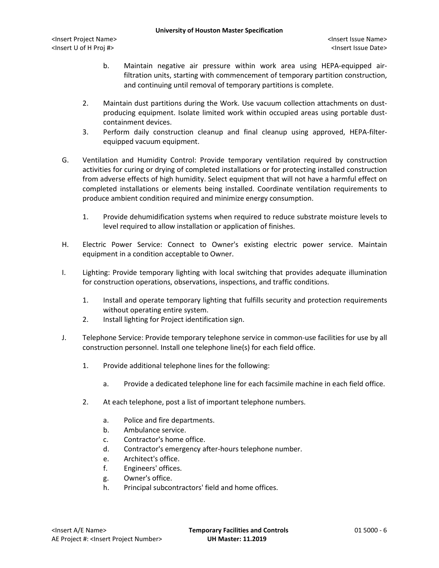- b. Maintain negative air pressure within work area using HEPA-equipped airfiltration units, starting with commencement of temporary partition construction, and continuing until removal of temporary partitions is complete.
- 2. Maintain dust partitions during the Work. Use vacuum collection attachments on dustproducing equipment. Isolate limited work within occupied areas using portable dustcontainment devices.
- 3. Perform daily construction cleanup and final cleanup using approved, HEPA-filterequipped vacuum equipment.
- G. Ventilation and Humidity Control: Provide temporary ventilation required by construction activities for curing or drying of completed installations or for protecting installed construction from adverse effects of high humidity. Select equipment that will not have a harmful effect on completed installations or elements being installed. Coordinate ventilation requirements to produce ambient condition required and minimize energy consumption.
	- 1. Provide dehumidification systems when required to reduce substrate moisture levels to level required to allow installation or application of finishes.
- H. Electric Power Service: Connect to Owner's existing electric power service. Maintain equipment in a condition acceptable to Owner.
- I. Lighting: Provide temporary lighting with local switching that provides adequate illumination for construction operations, observations, inspections, and traffic conditions.
	- 1. Install and operate temporary lighting that fulfills security and protection requirements without operating entire system.
	- 2. Install lighting for Project identification sign.
- J. Telephone Service: Provide temporary telephone service in common-use facilities for use by all construction personnel. Install one telephone line(s) for each field office.
	- 1. Provide additional telephone lines for the following:
		- a. Provide a dedicated telephone line for each facsimile machine in each field office.
	- 2. At each telephone, post a list of important telephone numbers.
		- a. Police and fire departments.
		- b. Ambulance service.
		- c. Contractor's home office.
		- d. Contractor's emergency after-hours telephone number.
		- e. Architect's office.
		- f. Engineers' offices.
		- g. Owner's office.
		- h. Principal subcontractors' field and home offices.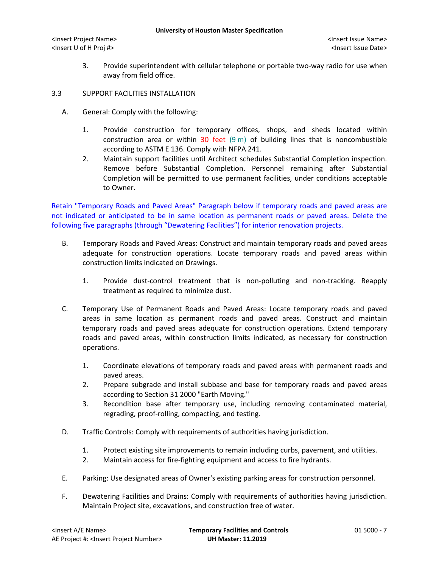<Insert Project Name> <Insert Issue Name> <Insert U of H Proj #> <Insert Issue Date>

- 3. Provide superintendent with cellular telephone or portable two-way radio for use when away from field office.
- 3.3 SUPPORT FACILITIES INSTALLATION
	- A. General: Comply with the following:
		- 1. Provide construction for temporary offices, shops, and sheds located within construction area or within 30 feet  $(9 \text{ m})$  of building lines that is noncombustible according to ASTM E 136. Comply with NFPA 241.
		- 2. Maintain support facilities until Architect schedules Substantial Completion inspection. Remove before Substantial Completion. Personnel remaining after Substantial Completion will be permitted to use permanent facilities, under conditions acceptable to Owner.

Retain "Temporary Roads and Paved Areas" Paragraph below if temporary roads and paved areas are not indicated or anticipated to be in same location as permanent roads or paved areas. Delete the following five paragraphs (through "Dewatering Facilities") for interior renovation projects.

- B. Temporary Roads and Paved Areas: Construct and maintain temporary roads and paved areas adequate for construction operations. Locate temporary roads and paved areas within construction limits indicated on Drawings.
	- 1. Provide dust-control treatment that is non-polluting and non-tracking. Reapply treatment as required to minimize dust.
- C. Temporary Use of Permanent Roads and Paved Areas: Locate temporary roads and paved areas in same location as permanent roads and paved areas. Construct and maintain temporary roads and paved areas adequate for construction operations. Extend temporary roads and paved areas, within construction limits indicated, as necessary for construction operations.
	- 1. Coordinate elevations of temporary roads and paved areas with permanent roads and paved areas.
	- 2. Prepare subgrade and install subbase and base for temporary roads and paved areas according to Section 31 2000 "Earth Moving."
	- 3. Recondition base after temporary use, including removing contaminated material, regrading, proof-rolling, compacting, and testing.
- D. Traffic Controls: Comply with requirements of authorities having jurisdiction.
	- 1. Protect existing site improvements to remain including curbs, pavement, and utilities.
	- 2. Maintain access for fire-fighting equipment and access to fire hydrants.
- E. Parking: Use designated areas of Owner's existing parking areas for construction personnel.
- F. Dewatering Facilities and Drains: Comply with requirements of authorities having jurisdiction. Maintain Project site, excavations, and construction free of water.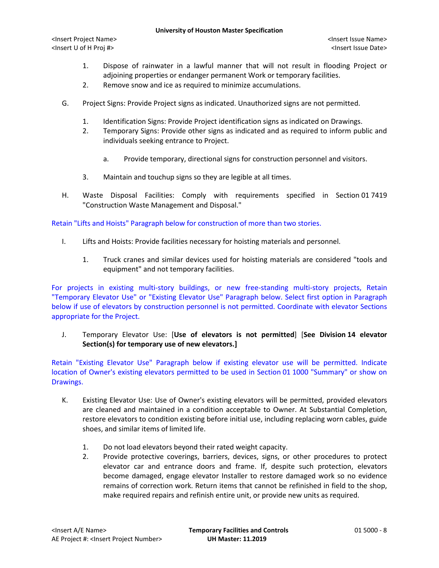#### **University of Houston Master Specification**

<Insert Project Name> <Insert Issue Name> <Insert U of H Proj #> <Insert Issue Date>

- 1. Dispose of rainwater in a lawful manner that will not result in flooding Project or adjoining properties or endanger permanent Work or temporary facilities.
- 2. Remove snow and ice as required to minimize accumulations.
- G. Project Signs: Provide Project signs as indicated. Unauthorized signs are not permitted.
	- 1. Identification Signs: Provide Project identification signs as indicated on Drawings.
	- 2. Temporary Signs: Provide other signs as indicated and as required to inform public and individuals seeking entrance to Project.
		- a. Provide temporary, directional signs for construction personnel and visitors.
	- 3. Maintain and touchup signs so they are legible at all times.
- H. Waste Disposal Facilities: Comply with requirements specified in Section 01 7419 "Construction Waste Management and Disposal."

Retain "Lifts and Hoists" Paragraph below for construction of more than two stories.

- I. Lifts and Hoists: Provide facilities necessary for hoisting materials and personnel.
	- 1. Truck cranes and similar devices used for hoisting materials are considered "tools and equipment" and not temporary facilities.

For projects in existing multi-story buildings, or new free-standing multi-story projects, Retain "Temporary Elevator Use" or "Existing Elevator Use" Paragraph below. Select first option in Paragraph below if use of elevators by construction personnel is not permitted. Coordinate with elevator Sections appropriate for the Project.

J. Temporary Elevator Use: [**Use of elevators is not permitted**] [**See Division 14 elevator Section(s) for temporary use of new elevators.]**

Retain "Existing Elevator Use" Paragraph below if existing elevator use will be permitted. Indicate location of Owner's existing elevators permitted to be used in Section 01 1000 "Summary" or show on Drawings.

- K. Existing Elevator Use: Use of Owner's existing elevators will be permitted, provided elevators are cleaned and maintained in a condition acceptable to Owner. At Substantial Completion, restore elevators to condition existing before initial use, including replacing worn cables, guide shoes, and similar items of limited life.
	- 1. Do not load elevators beyond their rated weight capacity.
	- 2. Provide protective coverings, barriers, devices, signs, or other procedures to protect elevator car and entrance doors and frame. If, despite such protection, elevators become damaged, engage elevator Installer to restore damaged work so no evidence remains of correction work. Return items that cannot be refinished in field to the shop, make required repairs and refinish entire unit, or provide new units as required.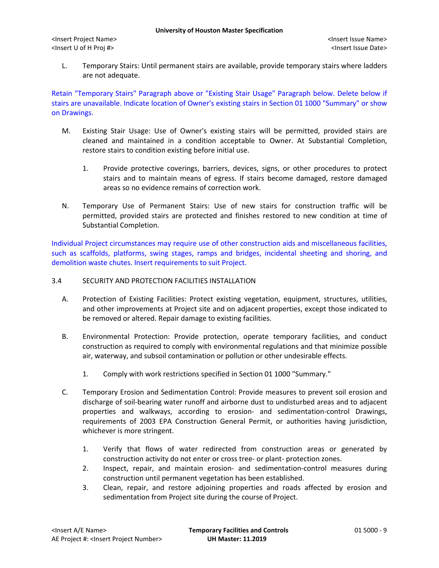L. Temporary Stairs: Until permanent stairs are available, provide temporary stairs where ladders are not adequate.

Retain "Temporary Stairs" Paragraph above or "Existing Stair Usage" Paragraph below. Delete below if stairs are unavailable. Indicate location of Owner's existing stairs in Section 01 1000 "Summary" or show on Drawings.

- M. Existing Stair Usage: Use of Owner's existing stairs will be permitted, provided stairs are cleaned and maintained in a condition acceptable to Owner. At Substantial Completion, restore stairs to condition existing before initial use.
	- 1. Provide protective coverings, barriers, devices, signs, or other procedures to protect stairs and to maintain means of egress. If stairs become damaged, restore damaged areas so no evidence remains of correction work.
- N. Temporary Use of Permanent Stairs: Use of new stairs for construction traffic will be permitted, provided stairs are protected and finishes restored to new condition at time of Substantial Completion.

Individual Project circumstances may require use of other construction aids and miscellaneous facilities, such as scaffolds, platforms, swing stages, ramps and bridges, incidental sheeting and shoring, and demolition waste chutes. Insert requirements to suit Project.

## 3.4 SECURITY AND PROTECTION FACILITIES INSTALLATION

- A. Protection of Existing Facilities: Protect existing vegetation, equipment, structures, utilities, and other improvements at Project site and on adjacent properties, except those indicated to be removed or altered. Repair damage to existing facilities.
- B. Environmental Protection: Provide protection, operate temporary facilities, and conduct construction as required to comply with environmental regulations and that minimize possible air, waterway, and subsoil contamination or pollution or other undesirable effects.
	- 1. Comply with work restrictions specified in Section 01 1000 "Summary."
- C. Temporary Erosion and Sedimentation Control: Provide measures to prevent soil erosion and discharge of soil-bearing water runoff and airborne dust to undisturbed areas and to adjacent properties and walkways, according to erosion- and sedimentation-control Drawings, requirements of 2003 EPA Construction General Permit, or authorities having jurisdiction, whichever is more stringent.
	- 1. Verify that flows of water redirected from construction areas or generated by construction activity do not enter or cross tree- or plant- protection zones.
	- 2. Inspect, repair, and maintain erosion- and sedimentation-control measures during construction until permanent vegetation has been established.
	- 3. Clean, repair, and restore adjoining properties and roads affected by erosion and sedimentation from Project site during the course of Project.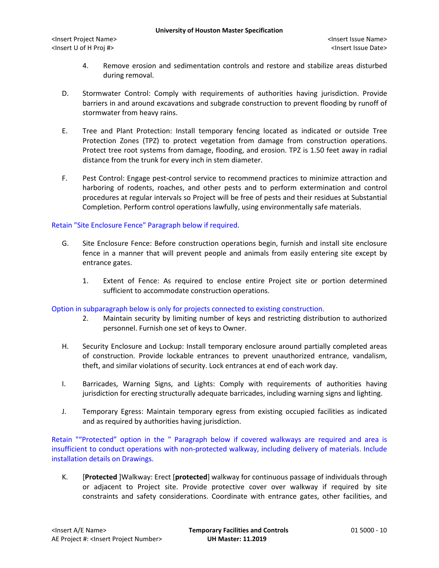<Insert Project Name> <Insert Issue Name> <Insert U of H Proj #> <Insert Issue Date>

- 4. Remove erosion and sedimentation controls and restore and stabilize areas disturbed during removal.
- D. Stormwater Control: Comply with requirements of authorities having jurisdiction. Provide barriers in and around excavations and subgrade construction to prevent flooding by runoff of stormwater from heavy rains.
- E. Tree and Plant Protection: Install temporary fencing located as indicated or outside Tree Protection Zones (TPZ) to protect vegetation from damage from construction operations. Protect tree root systems from damage, flooding, and erosion. TPZ is 1.50 feet away in radial distance from the trunk for every inch in stem diameter.
- F. Pest Control: Engage pest-control service to recommend practices to minimize attraction and harboring of rodents, roaches, and other pests and to perform extermination and control procedures at regular intervals so Project will be free of pests and their residues at Substantial Completion. Perform control operations lawfully, using environmentally safe materials.

## Retain "Site Enclosure Fence" Paragraph below if required.

- G. Site Enclosure Fence: Before construction operations begin, furnish and install site enclosure fence in a manner that will prevent people and animals from easily entering site except by entrance gates.
	- 1. Extent of Fence: As required to enclose entire Project site or portion determined sufficient to accommodate construction operations.

#### Option in subparagraph below is only for projects connected to existing construction.

- 2. Maintain security by limiting number of keys and restricting distribution to authorized personnel. Furnish one set of keys to Owner.
- H. Security Enclosure and Lockup: Install temporary enclosure around partially completed areas of construction. Provide lockable entrances to prevent unauthorized entrance, vandalism, theft, and similar violations of security. Lock entrances at end of each work day.
- I. Barricades, Warning Signs, and Lights: Comply with requirements of authorities having jurisdiction for erecting structurally adequate barricades, including warning signs and lighting.
- J. Temporary Egress: Maintain temporary egress from existing occupied facilities as indicated and as required by authorities having jurisdiction.

Retain ""Protected" option in the " Paragraph below if covered walkways are required and area is insufficient to conduct operations with non-protected walkway, including delivery of materials. Include installation details on Drawings.

K. [**Protected** ]Walkway: Erect [**protected**] walkway for continuous passage of individuals through or adjacent to Project site. Provide protective cover over walkway if required by site constraints and safety considerations. Coordinate with entrance gates, other facilities, and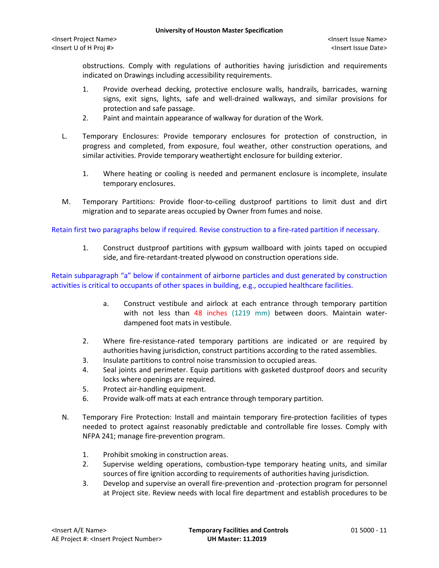obstructions. Comply with regulations of authorities having jurisdiction and requirements indicated on Drawings including accessibility requirements.

- 1. Provide overhead decking, protective enclosure walls, handrails, barricades, warning signs, exit signs, lights, safe and well-drained walkways, and similar provisions for protection and safe passage.
- 2. Paint and maintain appearance of walkway for duration of the Work.
- L. Temporary Enclosures: Provide temporary enclosures for protection of construction, in progress and completed, from exposure, foul weather, other construction operations, and similar activities. Provide temporary weathertight enclosure for building exterior.
	- 1. Where heating or cooling is needed and permanent enclosure is incomplete, insulate temporary enclosures.
- M. Temporary Partitions: Provide floor-to-ceiling dustproof partitions to limit dust and dirt migration and to separate areas occupied by Owner from fumes and noise.

Retain first two paragraphs below if required. Revise construction to a fire-rated partition if necessary.

1. Construct dustproof partitions with gypsum wallboard with joints taped on occupied side, and fire-retardant-treated plywood on construction operations side.

Retain subparagraph "a" below if containment of airborne particles and dust generated by construction activities is critical to occupants of other spaces in building, e.g., occupied healthcare facilities.

- a. Construct vestibule and airlock at each entrance through temporary partition with not less than 48 inches (1219 mm) between doors. Maintain waterdampened foot mats in vestibule.
- 2. Where fire-resistance-rated temporary partitions are indicated or are required by authorities having jurisdiction, construct partitions according to the rated assemblies.
- 3. Insulate partitions to control noise transmission to occupied areas.
- 4. Seal joints and perimeter. Equip partitions with gasketed dustproof doors and security locks where openings are required.
- 5. Protect air-handling equipment.
- 6. Provide walk-off mats at each entrance through temporary partition.
- N. Temporary Fire Protection: Install and maintain temporary fire-protection facilities of types needed to protect against reasonably predictable and controllable fire losses. Comply with NFPA 241; manage fire-prevention program.
	- 1. Prohibit smoking in construction areas.
	- 2. Supervise welding operations, combustion-type temporary heating units, and similar sources of fire ignition according to requirements of authorities having jurisdiction.
	- 3. Develop and supervise an overall fire-prevention and -protection program for personnel at Project site. Review needs with local fire department and establish procedures to be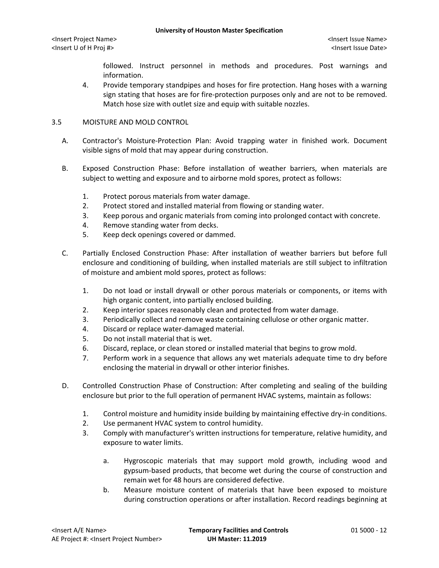followed. Instruct personnel in methods and procedures. Post warnings and information.

4. Provide temporary standpipes and hoses for fire protection. Hang hoses with a warning sign stating that hoses are for fire-protection purposes only and are not to be removed. Match hose size with outlet size and equip with suitable nozzles.

# 3.5 MOISTURE AND MOLD CONTROL

- A. Contractor's Moisture-Protection Plan: Avoid trapping water in finished work. Document visible signs of mold that may appear during construction.
- B. Exposed Construction Phase: Before installation of weather barriers, when materials are subject to wetting and exposure and to airborne mold spores, protect as follows:
	- 1. Protect porous materials from water damage.
	- 2. Protect stored and installed material from flowing or standing water.
	- 3. Keep porous and organic materials from coming into prolonged contact with concrete.
	- 4. Remove standing water from decks.
	- 5. Keep deck openings covered or dammed.
- C. Partially Enclosed Construction Phase: After installation of weather barriers but before full enclosure and conditioning of building, when installed materials are still subject to infiltration of moisture and ambient mold spores, protect as follows:
	- 1. Do not load or install drywall or other porous materials or components, or items with high organic content, into partially enclosed building.
	- 2. Keep interior spaces reasonably clean and protected from water damage.
	- 3. Periodically collect and remove waste containing cellulose or other organic matter.
	- 4. Discard or replace water-damaged material.
	- 5. Do not install material that is wet.
	- 6. Discard, replace, or clean stored or installed material that begins to grow mold.
	- 7. Perform work in a sequence that allows any wet materials adequate time to dry before enclosing the material in drywall or other interior finishes.
- D. Controlled Construction Phase of Construction: After completing and sealing of the building enclosure but prior to the full operation of permanent HVAC systems, maintain as follows:
	- 1. Control moisture and humidity inside building by maintaining effective dry-in conditions.
	- 2. Use permanent HVAC system to control humidity.
	- 3. Comply with manufacturer's written instructions for temperature, relative humidity, and exposure to water limits.
		- a. Hygroscopic materials that may support mold growth, including wood and gypsum-based products, that become wet during the course of construction and remain wet for 48 hours are considered defective.
		- b. Measure moisture content of materials that have been exposed to moisture during construction operations or after installation. Record readings beginning at